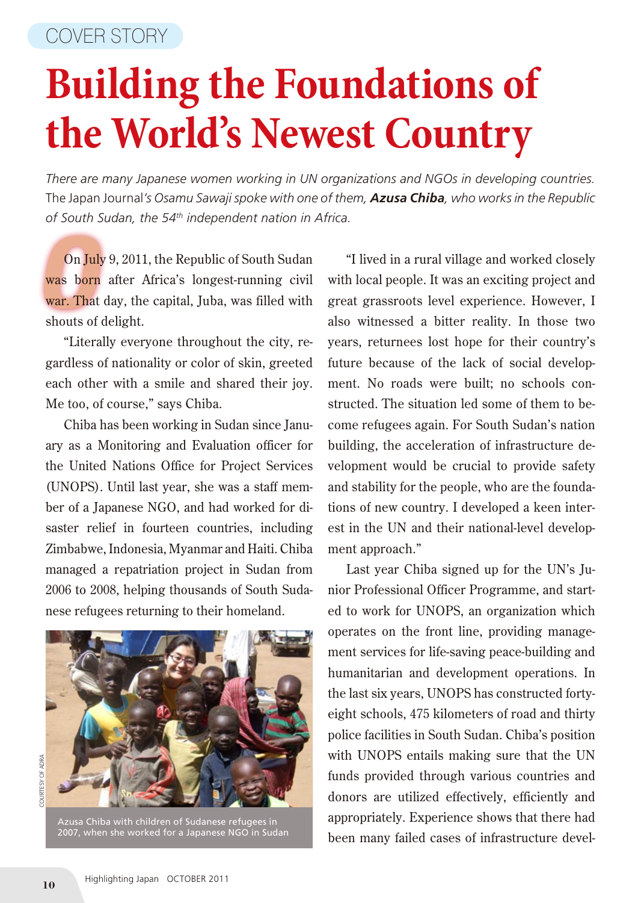## **Building the Foundations of the World's Newest Country**

*There are many Japanese women working in UN organizations and NGOs in developing countries.*  The Japan Journal*'s Osamu Sawaji spoke with one of them, Azusa Chiba, who works in the Republic of South Sudan, the 54th independent nation in Africa.*

On July 9, 2011, the Republic of South Sudan<br>was born after Africa's longest-running civil<br>war. That day, the capital, Juba, was filled with On July 9, 2011, the Republic of South Sudan was born after Africa's longest-running civil shouts of delight.

"Literally everyone throughout the city, regardless of nationality or color of skin, greeted each other with a smile and shared their joy. Me too, of course," says Chiba.

Chiba has been working in Sudan since January as a Monitoring and Evaluation officer for the United Nations Office for Project Services (UNOPS). Until last year, she was a staff member of a Japanese NGO, and had worked for disaster relief in fourteen countries, including Zimbabwe, Indonesia, Myanmar and Haiti. Chiba managed a repatriation project in Sudan from 2006 to 2008, helping thousands of South Sudanese refugees returning to their homeland.



Azusa Chiba with children of Sudanese refugees in 2007, when she worked for a Japanese NGO in Sudan

"I lived in a rural village and worked closely with local people. It was an exciting project and great grassroots level experience. However, I also witnessed a bitter reality. In those two years, returnees lost hope for their country's future because of the lack of social development. No roads were built; no schools constructed. The situation led some of them to become refugees again. For South Sudan's nation building, the acceleration of infrastructure development would be crucial to provide safety and stability for the people, who are the foundations of new country. I developed a keen interest in the UN and their national-level development approach."

Last year Chiba signed up for the UN's Junior Professional Officer Programme, and started to work for UNOPS, an organization which operates on the front line, providing management services for life-saving peace-building and humanitarian and development operations. In the last six years, UNOPS has constructed fortyeight schools, 475 kilometers of road and thirty police facilities in South Sudan. Chiba's position with UNOPS entails making sure that the UN funds provided through various countries and donors are utilized effectively, efficiently and appropriately. Experience shows that there had been many failed cases of infrastructure devel-